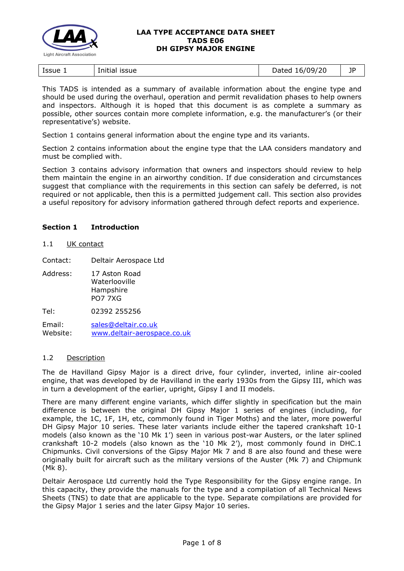

|  | Issue $\overline{1}$ | Initial issue | Dated 16/09/20 | ᅚ |
|--|----------------------|---------------|----------------|---|
|--|----------------------|---------------|----------------|---|

This TADS is intended as a summary of available information about the engine type and should be used during the overhaul, operation and permit revalidation phases to help owners and inspectors. Although it is hoped that this document is as complete a summary as possible, other sources contain more complete information, e.g. the manufacturer's (or their representative's) website.

Section 1 contains general information about the engine type and its variants.

Section 2 contains information about the engine type that the LAA considers mandatory and must be complied with.

Section 3 contains advisory information that owners and inspectors should review to help them maintain the engine in an airworthy condition. If due consideration and circumstances suggest that compliance with the requirements in this section can safely be deferred, is not required or not applicable, then this is a permitted judgement call. This section also provides a useful repository for advisory information gathered through defect reports and experience.

# **Section 1 Introduction**

#### 1.1 UK contact

Contact: Deltair Aerospace Ltd

- Address: 17 Aston Road Waterlooville Hampshire PO7 7XG
- Tel: 02392 255256

Email: [sales@deltair.co.uk](mailto:sales@deltair.co.uk) Website: [www.deltair-aerospace.co.uk](http://www.deltair-aerospace.co.uk/)

## 1.2 Description

The de Havilland Gipsy Major is a direct drive, four cylinder, inverted, inline air-cooled engine, that was developed by de Havilland in the early 1930s from the Gipsy III, which was in turn a development of the earlier, upright, Gipsy I and II models.

There are many different engine variants, which differ slightly in specification but the main difference is between the original DH Gipsy Major 1 series of engines (including, for example, the 1C, 1F, 1H, etc, commonly found in Tiger Moths) and the later, more powerful DH Gipsy Major 10 series. These later variants include either the tapered crankshaft 10-1 models (also known as the '10 Mk 1') seen in various post-war Austers, or the later splined crankshaft 10-2 models (also known as the '10 Mk 2'), most commonly found in DHC.1 Chipmunks. Civil conversions of the Gipsy Major Mk 7 and 8 are also found and these were originally built for aircraft such as the military versions of the Auster (Mk 7) and Chipmunk (Mk 8).

Deltair Aerospace Ltd currently hold the Type Responsibility for the Gipsy engine range. In this capacity, they provide the manuals for the type and a compilation of all Technical News Sheets (TNS) to date that are applicable to the type. Separate compilations are provided for the Gipsy Major 1 series and the later Gipsy Major 10 series.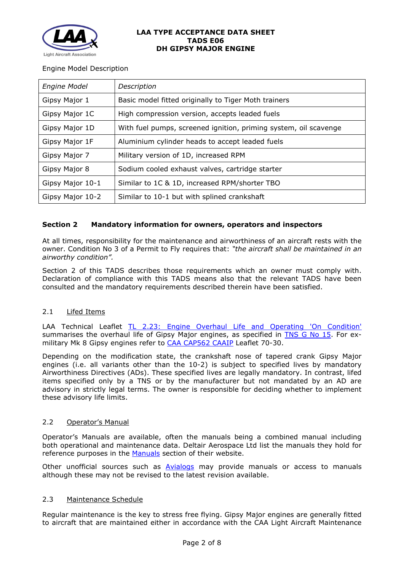

## Engine Model Description

| <b>Engine Model</b> | Description                                                      |  |
|---------------------|------------------------------------------------------------------|--|
| Gipsy Major 1       | Basic model fitted originally to Tiger Moth trainers             |  |
| Gipsy Major 1C      | High compression version, accepts leaded fuels                   |  |
| Gipsy Major 1D      | With fuel pumps, screened ignition, priming system, oil scavenge |  |
| Gipsy Major 1F      | Aluminium cylinder heads to accept leaded fuels                  |  |
| Gipsy Major 7       | Military version of 1D, increased RPM                            |  |
| Gipsy Major 8       | Sodium cooled exhaust valves, cartridge starter                  |  |
| Gipsy Major 10-1    | Similar to 1C & 1D, increased RPM/shorter TBO                    |  |
| Gipsy Major 10-2    | Similar to 10-1 but with splined crankshaft                      |  |

# **Section 2 Mandatory information for owners, operators and inspectors**

At all times, responsibility for the maintenance and airworthiness of an aircraft rests with the owner. Condition No 3 of a Permit to Fly requires that: *"the aircraft shall be maintained in an airworthy condition".* 

Section 2 of this TADS describes those requirements which an owner must comply with. Declaration of compliance with this TADS means also that the relevant TADS have been consulted and the mandatory requirements described therein have been satisfied.

## 2.1 Lifed Items

LAA Technical Leaflet [TL 2.23: Engine Overhaul Life and Operating 'On Condition'](http://www.lightaircraftassociation.co.uk/engineering/TechnicalLeaflets/Operating%20An%20Aircraft/TL%202%2023%20Engine%20overhaul%20life%20and%20operating%20on-condition.pdf) summarises the overhaul life of Gipsy Major engines, as specified in [TNS G No 15.](http://www.lightaircraftassociation.co.uk/engineering/TADs/E06/TNS%20G%20No%2015.pdf) For exmilitary Mk 8 Gipsy engines refer to [CAA CAP562 CAAIP](https://caa.co.uk/cap562) Leaflet 70-30.

Depending on the modification state, the crankshaft nose of tapered crank Gipsy Major engines (i.e. all variants other than the 10-2) is subject to specified lives by mandatory Airworthiness Directives (ADs). These specified lives are legally mandatory. In contrast, lifed items specified only by a TNS or by the manufacturer but not mandated by an AD are advisory in strictly legal terms. The owner is responsible for deciding whether to implement these advisory life limits.

## 2.2 Operator's Manual

Operator's Manuals are available, often the manuals being a combined manual including both operational and maintenance data. Deltair Aerospace Ltd list the manuals they hold for reference purposes in the [Manuals](http://www.deltair-aerospace.co.uk/services/manuals) section of their website.

Other unofficial sources such as **[Avialogs](http://www.avialogs.com/index.php/en/engines/united-kingdom/de-havilland/gipsy-major.html)** may provide manuals or access to manuals although these may not be revised to the latest revision available.

## 2.3 Maintenance Schedule

Regular maintenance is the key to stress free flying. Gipsy Major engines are generally fitted to aircraft that are maintained either in accordance with the CAA Light Aircraft Maintenance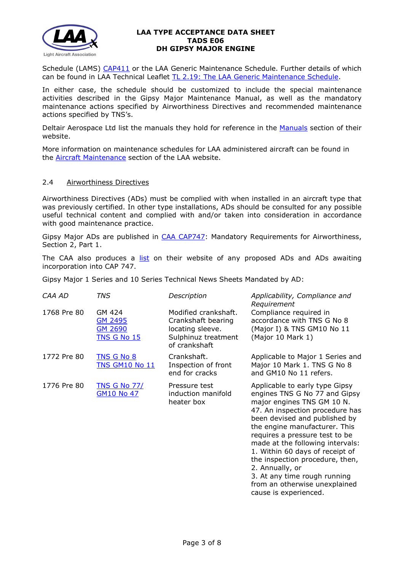

Schedule (LAMS) [CAP411](http://www.caa.co.uk/CAP411) or the LAA Generic Maintenance Schedule. Further details of which can be found in LAA Technical Leaflet [TL 2.19: The LAA Generic Maintenance Schedule.](http://www.lightaircraftassociation.co.uk/engineering/TechnicalLeaflets/Operating%20An%20Aircraft/TL%202.19%20The%20LAA%20Generic%20Maintenance%20Schedule.pdf)

In either case, the schedule should be customized to include the special maintenance activities described in the Gipsy Major Maintenance Manual, as well as the mandatory maintenance actions specified by Airworthiness Directives and recommended maintenance actions specified by TNS's.

Deltair Aerospace Ltd list the manuals they hold for reference in the [Manuals](http://www.deltair-aerospace.co.uk/services/manuals) section of their website.

More information on maintenance schedules for LAA administered aircraft can be found in the [Aircraft Maintenance](http://www.lightaircraftassociation.co.uk/engineering/Maintenance/Aircraft_Maintenance.html) section of the LAA website.

#### 2.4 Airworthiness Directives

Airworthiness Directives (ADs) must be complied with when installed in an aircraft type that was previously certified. In other type installations, ADs should be consulted for any possible useful technical content and complied with and/or taken into consideration in accordance with good maintenance practice.

Gipsy Major ADs are published in [CAA CAP747:](http://www.caa.co.uk/CAP747) Mandatory Requirements for Airworthiness, Section 2, Part 1.

The CAA also produces a [list](http://publicapps.caa.co.uk/modalapplication.aspx?appid=11&mode=list&type=sercat&id=58) on their website of any proposed ADs and ADs awaiting incorporation into CAP 747.

Gipsy Major 1 Series and 10 Series Technical News Sheets Mandated by AD:

| CAA AD      | TNS                                                              | Description                                                                                            | Applicability, Compliance and<br>Requirement                                                                                                                                                                                                                                                                                                                                                                                                                |
|-------------|------------------------------------------------------------------|--------------------------------------------------------------------------------------------------------|-------------------------------------------------------------------------------------------------------------------------------------------------------------------------------------------------------------------------------------------------------------------------------------------------------------------------------------------------------------------------------------------------------------------------------------------------------------|
| 1768 Pre 80 | GM 424<br><b>GM 2495</b><br><b>GM 2690</b><br><b>TNS G No 15</b> | Modified crankshaft.<br>Crankshaft bearing<br>locating sleeve.<br>Sulphinuz treatment<br>of crankshaft | Compliance required in<br>accordance with TNS G No 8<br>(Major I) & TNS GM10 No 11<br>(Major 10 Mark 1)                                                                                                                                                                                                                                                                                                                                                     |
| 1772 Pre 80 | <b>TNS G No 8</b><br><b>TNS GM10 No 11</b>                       | Crankshaft.<br>Inspection of front<br>end for cracks                                                   | Applicable to Major 1 Series and<br>Major 10 Mark 1. TNS G No 8<br>and GM10 No 11 refers.                                                                                                                                                                                                                                                                                                                                                                   |
| 1776 Pre 80 | <b>TNS G No 77/</b><br><b>GM10 No 47</b>                         | Pressure test<br>induction manifold<br>heater box                                                      | Applicable to early type Gipsy<br>engines TNS G No 77 and Gipsy<br>major engines TNS GM 10 N.<br>47. An inspection procedure has<br>been devised and published by<br>the engine manufacturer. This<br>requires a pressure test to be<br>made at the following intervals:<br>1. Within 60 days of receipt of<br>the inspection procedure, then,<br>2. Annually, or<br>3. At any time rough running<br>from an otherwise unexplained<br>cause is experienced. |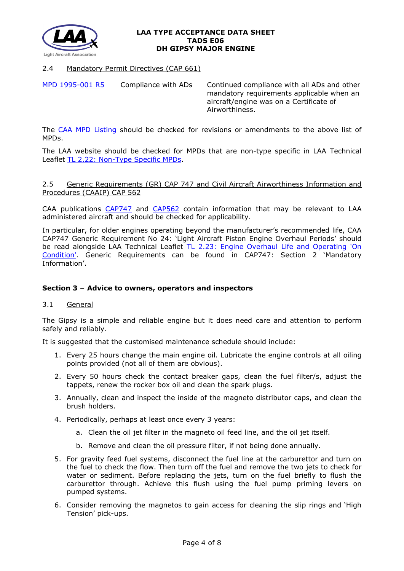

# 2.4 Mandatory Permit Directives (CAP 661)

[MPD 1995-001 R5](http://www.lightaircraftassociation.co.uk/engineering/TADs/E06/MPD%201995-001%20R5.pdf) Compliance with ADs Continued compliance with all ADs and other mandatory requirements applicable when an aircraft/engine was on a Certificate of Airworthiness.

The [CAA MPD Listing](http://publicapps.caa.co.uk/modalapplication.aspx?appid=11&mode=list&type=sercat&id=55) should be checked for revisions or amendments to the above list of MPDs.

The LAA website should be checked for MPDs that are non-type specific in LAA Technical Leaflet [TL 2.22: Non-Type Specific MPDs.](http://www.lightaircraftassociation.co.uk/engineering/TechnicalLeaflets/Operating%20An%20Aircraft/TL%202.22%20non-type%20specific%20MPDs.pdf)

### 2.5 Generic Requirements (GR) CAP 747 and Civil Aircraft Airworthiness Information and Procedures (CAAIP) CAP 562

CAA publications [CAP747](http://www.caa.co.uk/CAP747) and [CAP562](http://www.caa.co.uk/CAP562) contain information that may be relevant to LAA administered aircraft and should be checked for applicability.

In particular, for older engines operating beyond the manufacturer's recommended life, CAA CAP747 Generic Requirement No 24: 'Light Aircraft Piston Engine Overhaul Periods' should be read alongside LAA Technical Leaflet [TL 2.23: Engine Overhaul Life](http://www.lightaircraftassociation.co.uk/engineering/TechnicalLeaflets/Operating%20An%20Aircraft/TL%202%2023%20Engine%20overhaul%20life%20and%20operating%20on-condition.pdf) and Operating 'On [Condition'.](http://www.lightaircraftassociation.co.uk/engineering/TechnicalLeaflets/Operating%20An%20Aircraft/TL%202%2023%20Engine%20overhaul%20life%20and%20operating%20on-condition.pdf) Generic Requirements can be found in CAP747: Section 2 'Mandatory Information'.

# **Section 3 – Advice to owners, operators and inspectors**

## 3.1 General

The Gipsy is a simple and reliable engine but it does need care and attention to perform safely and reliably.

It is suggested that the customised maintenance schedule should include:

- 1. Every 25 hours change the main engine oil. Lubricate the engine controls at all oiling points provided (not all of them are obvious).
- 2. Every 50 hours check the contact breaker gaps, clean the fuel filter/s, adjust the tappets, renew the rocker box oil and clean the spark plugs.
- 3. Annually, clean and inspect the inside of the magneto distributor caps, and clean the brush holders.
- 4. Periodically, perhaps at least once every 3 years:
	- a. Clean the oil jet filter in the magneto oil feed line, and the oil jet itself.
	- b. Remove and clean the oil pressure filter, if not being done annually.
- 5. For gravity feed fuel systems, disconnect the fuel line at the carburettor and turn on the fuel to check the flow. Then turn off the fuel and remove the two jets to check for water or sediment. Before replacing the jets, turn on the fuel briefly to flush the carburettor through. Achieve this flush using the fuel pump priming levers on pumped systems.
- 6. Consider removing the magnetos to gain access for cleaning the slip rings and 'High Tension' pick-ups.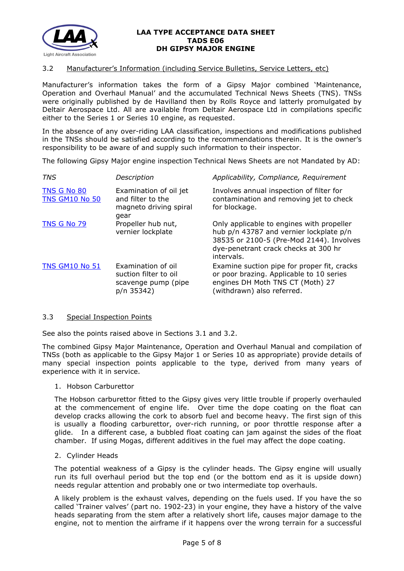

## 3.2 Manufacturer's Information (including Service Bulletins, Service Letters, etc)

Manufacturer's information takes the form of a Gipsy Major combined 'Maintenance, Operation and Overhaul Manual' and the accumulated Technical News Sheets (TNS). TNSs were originally published by de Havilland then by Rolls Royce and latterly promulgated by Deltair Aerospace Ltd. All are available from Deltair Aerospace Ltd in compilations specific either to the Series 1 or Series 10 engine, as requested.

In the absence of any over-riding LAA classification, inspections and modifications published in the TNSs should be satisfied according to the recommendations therein. It is the owner's responsibility to be aware of and supply such information to their inspector.

The following Gipsy Major engine inspection Technical News Sheets are not Mandated by AD:

| <b>TNS</b>                           | Description                                                                      | Applicability, Compliance, Requirement                                                                                                                                                 |
|--------------------------------------|----------------------------------------------------------------------------------|----------------------------------------------------------------------------------------------------------------------------------------------------------------------------------------|
| TNS G No 80<br><b>TNS GM10 No 50</b> | Examination of oil jet<br>and filter to the<br>magneto driving spiral<br>gear    | Involves annual inspection of filter for<br>contamination and removing jet to check<br>for blockage.                                                                                   |
| <b>TNS G No 79</b>                   | Propeller hub nut,<br>vernier lockplate                                          | Only applicable to engines with propeller<br>hub p/n 43787 and vernier lockplate p/n<br>38535 or 2100-5 (Pre-Mod 2144). Involves<br>dye-penetrant crack checks at 300 hr<br>intervals. |
| <b>TNS GM10 No 51</b>                | Examination of oil<br>suction filter to oil<br>scavenge pump (pipe<br>p/n 35342) | Examine suction pipe for proper fit, cracks<br>or poor brazing. Applicable to 10 series<br>engines DH Moth TNS CT (Moth) 27<br>(withdrawn) also referred.                              |

#### 3.3 Special Inspection Points

See also the points raised above in Sections 3.1 and 3.2.

The combined Gipsy Major Maintenance, Operation and Overhaul Manual and compilation of TNSs (both as applicable to the Gipsy Major 1 or Series 10 as appropriate) provide details of many special inspection points applicable to the type, derived from many years of experience with it in service.

## 1. Hobson Carburettor

The Hobson carburettor fitted to the Gipsy gives very little trouble if properly overhauled at the commencement of engine life. Over time the dope coating on the float can develop cracks allowing the cork to absorb fuel and become heavy. The first sign of this is usually a flooding carburettor, over-rich running, or poor throttle response after a glide. In a different case, a bubbled float coating can jam against the sides of the float chamber. If using Mogas, different additives in the fuel may affect the dope coating.

### 2. Cylinder Heads

The potential weakness of a Gipsy is the cylinder heads. The Gipsy engine will usually run its full overhaul period but the top end (or the bottom end as it is upside down) needs regular attention and probably one or two intermediate top overhauls.

A likely problem is the exhaust valves, depending on the fuels used. If you have the so called 'Trainer valves' (part no. 1902-23) in your engine, they have a history of the valve heads separating from the stem after a relatively short life, causes major damage to the engine, not to mention the airframe if it happens over the wrong terrain for a successful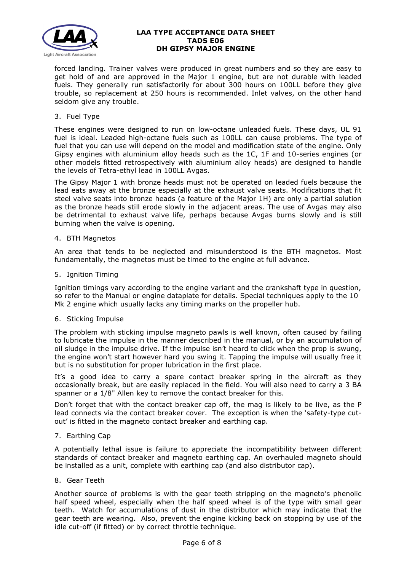

forced landing. Trainer valves were produced in great numbers and so they are easy to get hold of and are approved in the Major 1 engine, but are not durable with leaded fuels. They generally run satisfactorily for about 300 hours on 100LL before they give trouble, so replacement at 250 hours is recommended. Inlet valves, on the other hand seldom give any trouble.

3. Fuel Type

These engines were designed to run on low-octane unleaded fuels. These days, UL 91 fuel is ideal. Leaded high-octane fuels such as 100LL can cause problems. The type of fuel that you can use will depend on the model and modification state of the engine. Only Gipsy engines with aluminium alloy heads such as the 1C, 1F and 10-series engines (or other models fitted retrospectively with aluminium alloy heads) are designed to handle the levels of Tetra-ethyl lead in 100LL Avgas.

The Gipsy Major 1 with bronze heads must not be operated on leaded fuels because the lead eats away at the bronze especially at the exhaust valve seats. Modifications that fit steel valve seats into bronze heads (a feature of the Major 1H) are only a partial solution as the bronze heads still erode slowly in the adjacent areas. The use of Avgas may also be detrimental to exhaust valve life, perhaps because Avgas burns slowly and is still burning when the valve is opening.

4. BTH Magnetos

An area that tends to be neglected and misunderstood is the BTH magnetos. Most fundamentally, the magnetos must be timed to the engine at full advance.

5. Ignition Timing

Ignition timings vary according to the engine variant and the crankshaft type in question, so refer to the Manual or engine dataplate for details. Special techniques apply to the 10 Mk 2 engine which usually lacks any timing marks on the propeller hub.

6. Sticking Impulse

The problem with sticking impulse magneto pawls is well known, often caused by failing to lubricate the impulse in the manner described in the manual, or by an accumulation of oil sludge in the impulse drive. If the impulse isn't heard to click when the prop is swung, the engine won't start however hard you swing it. Tapping the impulse will usually free it but is no substitution for proper lubrication in the first place.

It's a good idea to carry a spare contact breaker spring in the aircraft as they occasionally break, but are easily replaced in the field. You will also need to carry a 3 BA spanner or a 1/8" Allen key to remove the contact breaker for this.

Don't forget that with the contact breaker cap off, the mag is likely to be live, as the P lead connects via the contact breaker cover. The exception is when the 'safety-type cutout' is fitted in the magneto contact breaker and earthing cap.

7. Earthing Cap

A potentially lethal issue is failure to appreciate the incompatibility between different standards of contact breaker and magneto earthing cap. An overhauled magneto should be installed as a unit, complete with earthing cap (and also distributor cap).

8. Gear Teeth

Another source of problems is with the gear teeth stripping on the magneto's phenolic half speed wheel, especially when the half speed wheel is of the type with small gear teeth. Watch for accumulations of dust in the distributor which may indicate that the gear teeth are wearing. Also, prevent the engine kicking back on stopping by use of the idle cut-off (if fitted) or by correct throttle technique.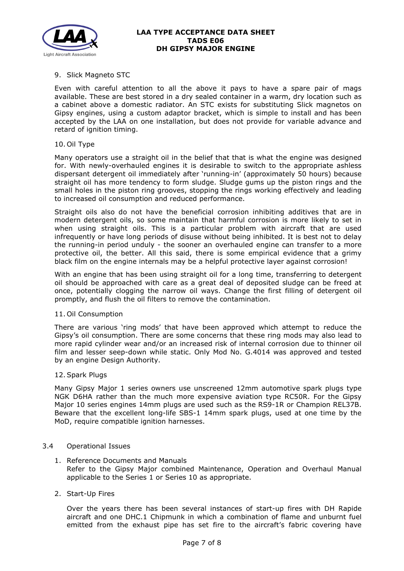

# 9. Slick Magneto STC

Even with careful attention to all the above it pays to have a spare pair of mags available. These are best stored in a dry sealed container in a warm, dry location such as a cabinet above a domestic radiator. An STC exists for substituting Slick magnetos on Gipsy engines, using a custom adaptor bracket, which is simple to install and has been accepted by the LAA on one installation, but does not provide for variable advance and retard of ignition timing.

#### 10. Oil Type

Many operators use a straight oil in the belief that that is what the engine was designed for. With newly-overhauled engines it is desirable to switch to the appropriate ashless dispersant detergent oil immediately after 'running-in' (approximately 50 hours) because straight oil has more tendency to form sludge. Sludge gums up the piston rings and the small holes in the piston ring grooves, stopping the rings working effectively and leading to increased oil consumption and reduced performance.

Straight oils also do not have the beneficial corrosion inhibiting additives that are in modern detergent oils, so some maintain that harmful corrosion is more likely to set in when using straight oils. This is a particular problem with aircraft that are used infrequently or have long periods of disuse without being inhibited. It is best not to delay the running-in period unduly - the sooner an overhauled engine can transfer to a more protective oil, the better. All this said, there is some empirical evidence that a grimy black film on the engine internals may be a helpful protective layer against corrosion!

With an engine that has been using straight oil for a long time, transferring to detergent oil should be approached with care as a great deal of deposited sludge can be freed at once, potentially clogging the narrow oil ways. Change the first filling of detergent oil promptly, and flush the oil filters to remove the contamination.

#### 11. Oil Consumption

There are various 'ring mods' that have been approved which attempt to reduce the Gipsy's oil consumption. There are some concerns that these ring mods may also lead to more rapid cylinder wear and/or an increased risk of internal corrosion due to thinner oil film and lesser seep-down while static. Only Mod No. G.4014 was approved and tested by an engine Design Authority.

#### 12.Spark Plugs

Many Gipsy Major 1 series owners use unscreened 12mm automotive spark plugs type NGK D6HA rather than the much more expensive aviation type RC50R. For the Gipsy Major 10 series engines 14mm plugs are used such as the RS9-1R or Champion REL37B. Beware that the excellent long-life SBS-1 14mm spark plugs, used at one time by the MoD, require compatible ignition harnesses.

## 3.4 Operational Issues

- 1. Reference Documents and Manuals Refer to the Gipsy Major combined Maintenance, Operation and Overhaul Manual applicable to the Series 1 or Series 10 as appropriate.
- 2. Start-Up Fires

Over the years there has been several instances of start-up fires with DH Rapide aircraft and one DHC.1 Chipmunk in which a combination of flame and unburnt fuel emitted from the exhaust pipe has set fire to the aircraft's fabric covering have